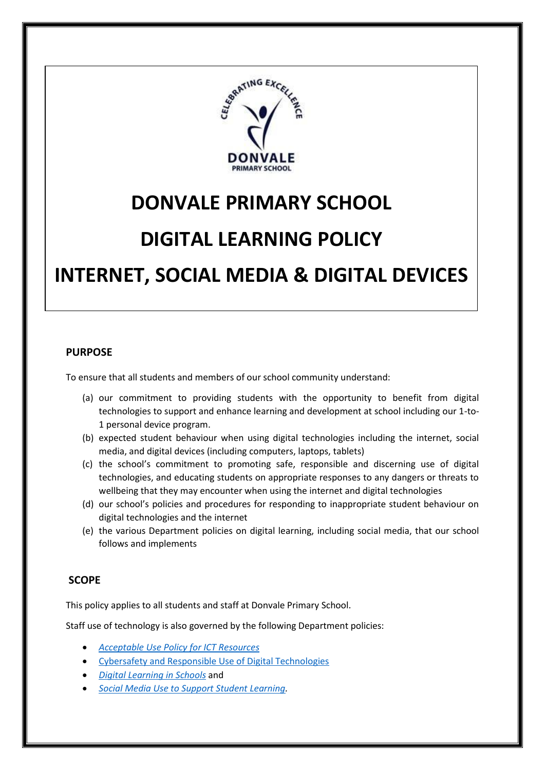

# **DONVALE PRIMARY SCHOOL**

# **DIGITAL LEARNING POLICY**

# **INTERNET, SOCIAL MEDIA & DIGITAL DEVICES**

#### **PURPOSE**

I

To ensure that all students and members of our school community understand:

- (a) our commitment to providing students with the opportunity to benefit from digital technologies to support and enhance learning and development at school including our 1-to-1 personal device program.
- (b) expected student behaviour when using digital technologies including the internet, social media, and digital devices (including computers, laptops, tablets)
- (c) the school's commitment to promoting safe, responsible and discerning use of digital technologies, and educating students on appropriate responses to any dangers or threats to wellbeing that they may encounter when using the internet and digital technologies
- (d) our school's policies and procedures for responding to inappropriate student behaviour on digital technologies and the internet
- (e) the various Department policies on digital learning, including social media, that our school follows and implements

# **SCOPE**

This policy applies to all students and staff at Donvale Primary School.

Staff use of technology is also governed by the following Department policies:

- *[Acceptable Use Policy for ICT Resources](https://www2.education.vic.gov.au/pal/ict-acceptable-use/overview)*
- [Cybersafety and Responsible Use of Digital Technologies](https://www2.education.vic.gov.au/pal/cybersafety/policy)
- *[Digital Learning in Schools](https://www2.education.vic.gov.au/pal/digital-learning/policy)* and
- *[Social Media Use to Support Student Learning.](https://www2.education.vic.gov.au/pal/social-media/policy)*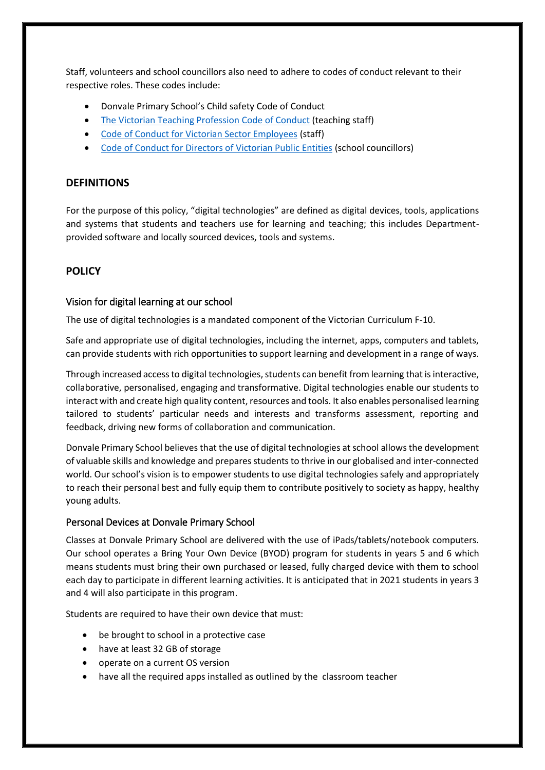Staff, volunteers and school councillors also need to adhere to codes of conduct relevant to their respective roles. These codes include:

- Donvale Primary School's Child safety Code of Conduct
- [The Victorian Teaching Profession Code of Conduct](https://www.vit.vic.edu.au/__data/assets/pdf_file/0018/35604/Code-of-Conduct-2016.pdf) (teaching staff)
- [Code of Conduct for Victorian Sector Employees](https://www2.education.vic.gov.au/pal/code-conduct/overview) (staff)
- [Code of Conduct for Directors of Victorian Public Entities](https://www2.education.vic.gov.au/pal/school-council-conduct/policy) (school councillors)

### **DEFINITIONS**

For the purpose of this policy, "digital technologies" are defined as digital devices, tools, applications and systems that students and teachers use for learning and teaching; this includes Departmentprovided software and locally sourced devices, tools and systems.

# **POLICY**

#### Vision for digital learning at our school

The use of digital technologies is a mandated component of the Victorian Curriculum F-10.

Safe and appropriate use of digital technologies, including the internet, apps, computers and tablets, can provide students with rich opportunities to support learning and development in a range of ways.

Through increased access to digital technologies, students can benefit from learning that is interactive, collaborative, personalised, engaging and transformative. Digital technologies enable our students to interact with and create high quality content, resources and tools. It also enables personalised learning tailored to students' particular needs and interests and transforms assessment, reporting and feedback, driving new forms of collaboration and communication.

Donvale Primary School believes that the use of digital technologies at school allows the development of valuable skills and knowledge and prepares students to thrive in our globalised and inter-connected world. Our school's vision is to empower students to use digital technologies safely and appropriately to reach their personal best and fully equip them to contribute positively to society as happy, healthy young adults.

#### Personal Devices at Donvale Primary School

Classes at Donvale Primary School are delivered with the use of iPads/tablets/notebook computers. Our school operates a Bring Your Own Device (BYOD) program for students in years 5 and 6 which means students must bring their own purchased or leased, fully charged device with them to school each day to participate in different learning activities. It is anticipated that in 2021 students in years 3 and 4 will also participate in this program.

Students are required to have their own device that must:

- be brought to school in a protective case
- have at least 32 GB of storage
- operate on a current OS version
- have all the required apps installed as outlined by the classroom teacher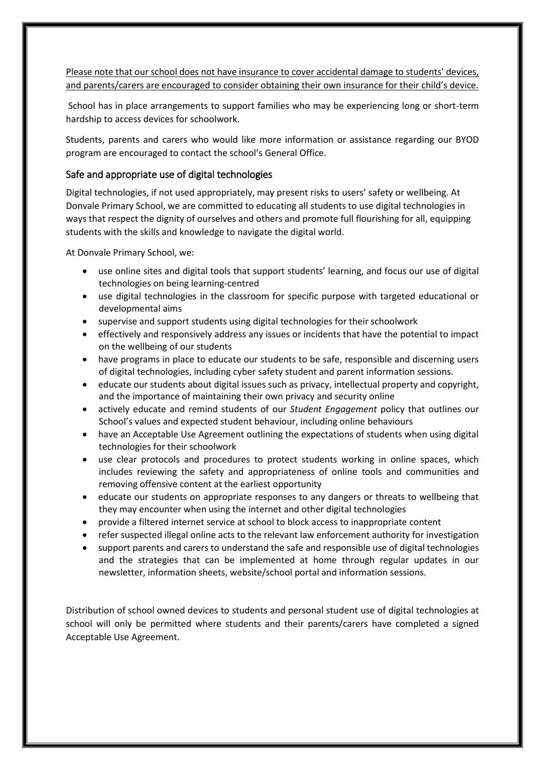Please note that our school does not have insurance to cover accidental damage to students' devices, and parents/carers are encouraged to consider obtaining their own insurance for their child's device.

School has in place arrangements to support families who may be experiencing long or short-term hardship to access devices for schoolwork.

Students, parents and carers who would like more information or assistance regarding our BYOD program are encouraged to contact the school's General Office.

#### Safe and appropriate use of digital technologies

Digital technologies, if not used appropriately, may present risks to users' safety or wellbeing. At Donvale Primary School, we are committed to educating all students to use digital technologies in ways that respect the dignity of ourselves and others and promote full flourishing for all, equipping students with the skills and knowledge to navigate the digital world.

At Donvale Primary School, we:

- use online sites and digital tools that support students' learning, and focus our use of digital technologies on being learning-centred
- use digital technologies in the classroom for specific purpose with targeted educational or developmental aims
- supervise and support students using digital technologies for their schoolwork
- effectively and responsively address any issues or incidents that have the potential to impact on the wellbeing of our students
- have programs in place to educate our students to be safe, responsible and discerning users of digital technologies, including cyber safety student and parent information sessions.
- educate our students about digital issues such as privacy, intellectual property and copyright, and the importance of maintaining their own privacy and security online
- actively educate and remind students of our *Student Engagement* policy that outlines our School's values and expected student behaviour, including online behaviours
- have an Acceptable Use Agreement outlining the expectations of students when using digital technologies for their schoolwork
- use clear protocols and procedures to protect students working in online spaces, which includes reviewing the safety and appropriateness of online tools and communities and removing offensive content at the earliest opportunity
- educate our students on appropriate responses to any dangers or threats to wellbeing that they may encounter when using the internet and other digital technologies
- provide a filtered internet service at school to block access to inappropriate content
- refer suspected illegal online acts to the relevant law enforcement authority for investigation
- support parents and carers to understand the safe and responsible use of digital technologies and the strategies that can be implemented at home through regular updates in our newsletter, information sheets, website/school portal and information sessions.

Distribution of school owned devices to students and personal student use of digital technologies at school will only be permitted where students and their parents/carers have completed a signed Acceptable Use Agreement.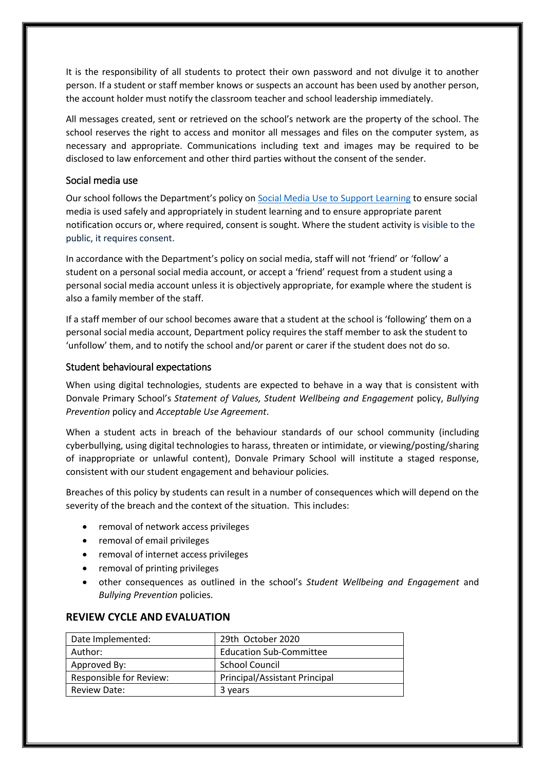It is the responsibility of all students to protect their own password and not divulge it to another person. If a student or staff member knows or suspects an account has been used by another person, the account holder must notify the classroom teacher and school leadership immediately.

All messages created, sent or retrieved on the school's network are the property of the school. The school reserves the right to access and monitor all messages and files on the computer system, as necessary and appropriate. Communications including text and images may be required to be disclosed to law enforcement and other third parties without the consent of the sender.

#### Social media use

Our school follows the Department's policy on [Social Media Use to Support Learning](https://www2.education.vic.gov.au/pal/social-media/policy) to ensure social media is used safely and appropriately in student learning and to ensure appropriate parent notification occurs or, where required, consent is sought. Where the student activity is visible to the public, it requires consent.

In accordance with the Department's policy on social media, staff will not 'friend' or 'follow' a student on a personal social media account, or accept a 'friend' request from a student using a personal social media account unless it is objectively appropriate, for example where the student is also a family member of the staff.

If a staff member of our school becomes aware that a student at the school is 'following' them on a personal social media account, Department policy requires the staff member to ask the student to 'unfollow' them, and to notify the school and/or parent or carer if the student does not do so.

#### Student behavioural expectations

When using digital technologies, students are expected to behave in a way that is consistent with Donvale Primary School's *Statement of Values, Student Wellbeing and Engagement* policy, *Bullying Prevention* policy and *Acceptable Use Agreement*.

When a student acts in breach of the behaviour standards of our school community (including cyberbullying, using digital technologies to harass, threaten or intimidate, or viewing/posting/sharing of inappropriate or unlawful content), Donvale Primary School will institute a staged response, consistent with our student engagement and behaviour policies*.*

Breaches of this policy by students can result in a number of consequences which will depend on the severity of the breach and the context of the situation. This includes:

- removal of network access privileges
- removal of email privileges
- removal of internet access privileges
- removal of printing privileges
- other consequences as outlined in the school's *Student Wellbeing and Engagement* and *Bullying Prevention* policies.

| Date Implemented:       | 29th October 2020                    |
|-------------------------|--------------------------------------|
| Author:                 | <b>Education Sub-Committee</b>       |
| Approved By:            | <b>School Council</b>                |
| Responsible for Review: | <b>Principal/Assistant Principal</b> |
| Review Date:            | 3 years                              |

# **REVIEW CYCLE AND EVALUATION**